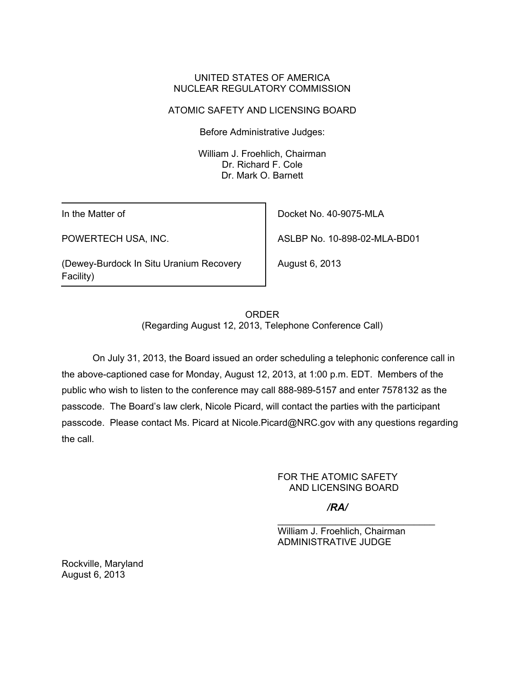## UNITED STATES OF AMERICA NUCLEAR REGULATORY COMMISSION

# ATOMIC SAFETY AND LICENSING BOARD

Before Administrative Judges:

 William J. Froehlich, Chairman Dr. Richard F. Cole Dr. Mark O. Barnett

In the Matter of

POWERTECH USA, INC.

(Dewey-Burdock In Situ Uranium Recovery Facility)

Docket No. 40-9075-MLA

ASLBP No. 10-898-02-MLA-BD01

August 6, 2013

ORDER (Regarding August 12, 2013, Telephone Conference Call)

 On July 31, 2013, the Board issued an order scheduling a telephonic conference call in the above-captioned case for Monday, August 12, 2013, at 1:00 p.m. EDT. Members of the public who wish to listen to the conference may call 888-989-5157 and enter 7578132 as the passcode. The Board's law clerk, Nicole Picard, will contact the parties with the participant passcode. Please contact Ms. Picard at Nicole.Picard@NRC.gov with any questions regarding the call.

> FOR THE ATOMIC SAFETY AND LICENSING BOARD

> > */RA/*

William J. Froehlich, Chairman ADMINISTRATIVE JUDGE

\_\_\_\_\_\_\_\_\_\_\_\_\_\_\_\_\_\_\_\_\_\_\_\_\_\_\_\_\_\_

Rockville, Maryland August 6, 2013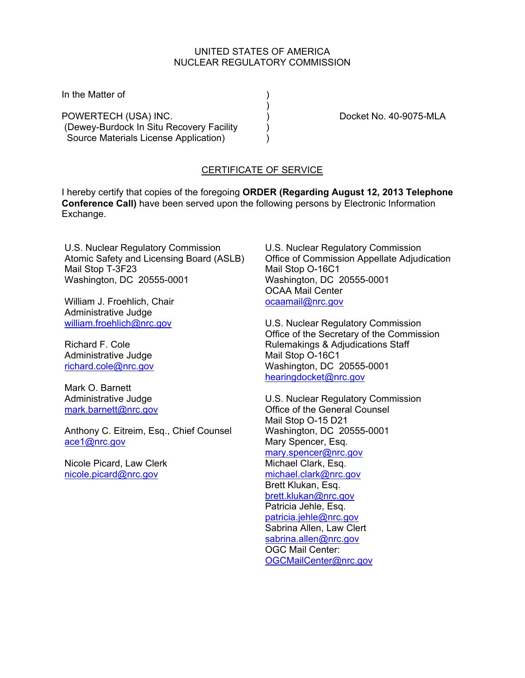### UNITED STATES OF AMERICA NUCLEAR REGULATORY COMMISSION

In the Matter of  $\qquad \qquad$ )

) and the contract of  $\mathcal{L}$ POWERTECH (USA) INC.  $\qquad \qquad$  ) Docket No. 40-9075-MLA (Dewey-Burdock In Situ Recovery Facility ) Source Materials License Application) (a)

## CERTIFICATE OF SERVICE

I hereby certify that copies of the foregoing **ORDER (Regarding August 12, 2013 Telephone Conference Call)** have been served upon the following persons by Electronic Information Exchange.

U.S. Nuclear Regulatory Commission Atomic Safety and Licensing Board (ASLB) Mail Stop T-3F23 Washington, DC 20555-0001

William J. Froehlich, Chair Administrative Judge william.froehlich@nrc.gov

Richard F. Cole Administrative Judge richard.cole@nrc.gov

Mark O. Barnett Administrative Judge mark.barnett@nrc.gov

Anthony C. Eitreim, Esq., Chief Counsel ace1@nrc.gov

Nicole Picard, Law Clerk nicole.picard@nrc.gov

U.S. Nuclear Regulatory Commission Office of Commission Appellate Adjudication Mail Stop O-16C1 Washington, DC 20555-0001 OCAA Mail Center ocaamail@nrc.gov

U.S. Nuclear Regulatory Commission Office of the Secretary of the Commission Rulemakings & Adjudications Staff Mail Stop O-16C1 Washington, DC 20555-0001 hearingdocket@nrc.gov

U.S. Nuclear Regulatory Commission Office of the General Counsel Mail Stop O-15 D21 Washington, DC 20555-0001 Mary Spencer, Esq. mary.spencer@nrc.gov Michael Clark, Esq. michael.clark@nrc.gov Brett Klukan, Esq. brett.klukan@nrc.gov Patricia Jehle, Esq. patricia.jehle@nrc.gov Sabrina Allen, Law Clert sabrina.allen@nrc.gov OGC Mail Center: OGCMailCenter@nrc.gov